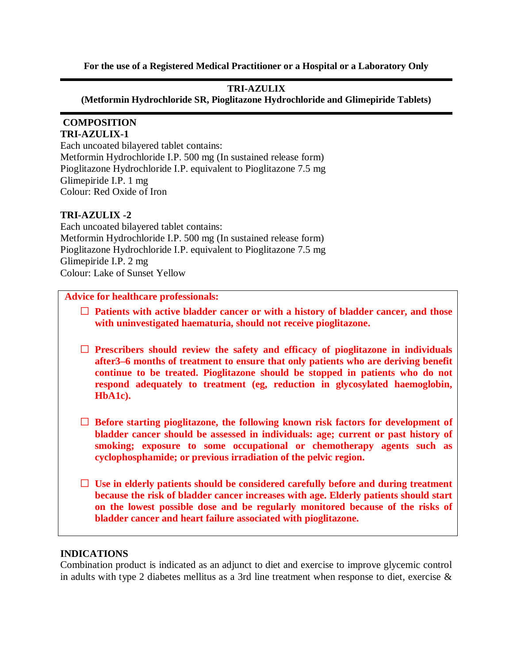**For the use of a Registered Medical Practitioner or a Hospital or a Laboratory Only**

# **TRI-AZULIX**

**(Metformin Hydrochloride SR, Pioglitazone Hydrochloride and Glimepiride Tablets)**

# **COMPOSITION**

**TRI-AZULIX-1**  Each uncoated bilayered tablet contains: Metformin Hydrochloride I.P. 500 mg (In sustained release form) Pioglitazone Hydrochloride I.P. equivalent to Pioglitazone 7.5 mg Glimepiride I.P. 1 mg Colour: Red Oxide of Iron

# **TRI-AZULIX -2**

Each uncoated bilayered tablet contains: Metformin Hydrochloride I.P. 500 mg (In sustained release form) Pioglitazone Hydrochloride I.P. equivalent to Pioglitazone 7.5 mg Glimepiride I.P. 2 mg Colour: Lake of Sunset Yellow

# **Advice for healthcare professionals:**

- **Patients with active bladder cancer or with a history of bladder cancer, and those with uninvestigated haematuria, should not receive pioglitazone.**
- **Prescribers should review the safety and efficacy of pioglitazone in individuals after3–6 months of treatment to ensure that only patients who are deriving benefit continue to be treated. Pioglitazone should be stopped in patients who do not respond adequately to treatment (eg, reduction in glycosylated haemoglobin, HbA1c).**
- **Before starting pioglitazone, the following known risk factors for development of bladder cancer should be assessed in individuals: age; current or past history of smoking; exposure to some occupational or chemotherapy agents such as cyclophosphamide; or previous irradiation of the pelvic region.**
- **Use in elderly patients should be considered carefully before and during treatment because the risk of bladder cancer increases with age. Elderly patients should start on the lowest possible dose and be regularly monitored because of the risks of bladder cancer and heart failure associated with pioglitazone.**

#### **INDICATIONS**

Combination product is indicated as an adjunct to diet and exercise to improve glycemic control in adults with type 2 diabetes mellitus as a 3rd line treatment when response to diet, exercise &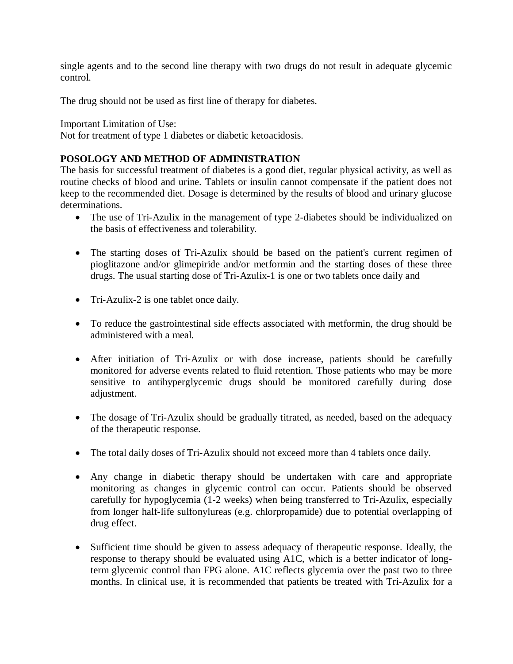single agents and to the second line therapy with two drugs do not result in adequate glycemic control.

The drug should not be used as first line of therapy for diabetes.

Important Limitation of Use:

Not for treatment of type 1 diabetes or diabetic ketoacidosis.

# **POSOLOGY AND METHOD OF ADMINISTRATION**

The basis for successful treatment of diabetes is a good diet, regular physical activity, as well as routine checks of blood and urine. Tablets or insulin cannot compensate if the patient does not keep to the recommended diet. Dosage is determined by the results of blood and urinary glucose determinations.

- The use of Tri-Azulix in the management of type 2-diabetes should be individualized on the basis of effectiveness and tolerability.
- The starting doses of Tri-Azulix should be based on the patient's current regimen of pioglitazone and/or glimepiride and/or metformin and the starting doses of these three drugs. The usual starting dose of Tri-Azulix-1 is one or two tablets once daily and
- Tri-Azulix-2 is one tablet once daily.
- To reduce the gastrointestinal side effects associated with metformin, the drug should be administered with a meal.
- After initiation of Tri-Azulix or with dose increase, patients should be carefully monitored for adverse events related to fluid retention. Those patients who may be more sensitive to antihyperglycemic drugs should be monitored carefully during dose adjustment.
- The dosage of Tri-Azulix should be gradually titrated, as needed, based on the adequacy of the therapeutic response.
- The total daily doses of Tri-Azulix should not exceed more than 4 tablets once daily.
- Any change in diabetic therapy should be undertaken with care and appropriate monitoring as changes in glycemic control can occur. Patients should be observed carefully for hypoglycemia (1-2 weeks) when being transferred to Tri-Azulix, especially from longer half-life sulfonylureas (e.g. chlorpropamide) due to potential overlapping of drug effect.
- Sufficient time should be given to assess adequacy of therapeutic response. Ideally, the response to therapy should be evaluated using A1C, which is a better indicator of longterm glycemic control than FPG alone. A1C reflects glycemia over the past two to three months. In clinical use, it is recommended that patients be treated with Tri-Azulix for a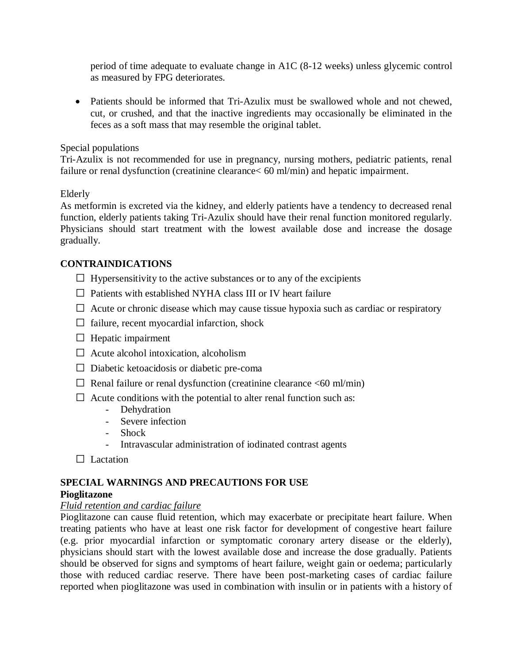period of time adequate to evaluate change in A1C (8-12 weeks) unless glycemic control as measured by FPG deteriorates.

• Patients should be informed that Tri-Azulix must be swallowed whole and not chewed, cut, or crushed, and that the inactive ingredients may occasionally be eliminated in the feces as a soft mass that may resemble the original tablet.

# Special populations

Tri-Azulix is not recommended for use in pregnancy, nursing mothers, pediatric patients, renal failure or renal dysfunction (creatinine clearance< 60 ml/min) and hepatic impairment.

# Elderly

As metformin is excreted via the kidney, and elderly patients have a tendency to decreased renal function, elderly patients taking Tri-Azulix should have their renal function monitored regularly. Physicians should start treatment with the lowest available dose and increase the dosage gradually.

# **CONTRAINDICATIONS**

- $\Box$  Hypersensitivity to the active substances or to any of the excipients
- $\Box$  Patients with established NYHA class III or IV heart failure
- $\Box$  Acute or chronic disease which may cause tissue hypoxia such as cardiac or respiratory
- $\Box$  failure, recent myocardial infarction, shock
- $\Box$  Hepatic impairment
- $\Box$  Acute alcohol intoxication, alcoholism
- $\Box$  Diabetic ketoacidosis or diabetic pre-coma
- $\Box$  Renal failure or renal dysfunction (creatinine clearance  $\leq 60$  ml/min)
- $\Box$  Acute conditions with the potential to alter renal function such as:
	- Dehydration
	- Severe infection
	- Shock
	- Intravascular administration of iodinated contrast agents
- $\Box$  Lactation

# **SPECIAL WARNINGS AND PRECAUTIONS FOR USE Pioglitazone**

#### *Fluid retention and cardiac failure*

Pioglitazone can cause fluid retention, which may exacerbate or precipitate heart failure. When treating patients who have at least one risk factor for development of congestive heart failure (e.g. prior myocardial infarction or symptomatic coronary artery disease or the elderly), physicians should start with the lowest available dose and increase the dose gradually. Patients should be observed for signs and symptoms of heart failure, weight gain or oedema; particularly those with reduced cardiac reserve. There have been post-marketing cases of cardiac failure reported when pioglitazone was used in combination with insulin or in patients with a history of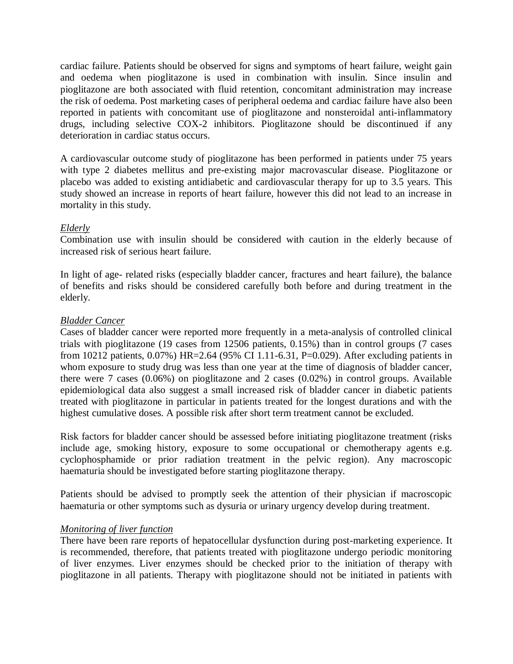cardiac failure. Patients should be observed for signs and symptoms of heart failure, weight gain and oedema when pioglitazone is used in combination with insulin. Since insulin and pioglitazone are both associated with fluid retention, concomitant administration may increase the risk of oedema. Post marketing cases of peripheral oedema and cardiac failure have also been reported in patients with concomitant use of pioglitazone and nonsteroidal anti-inflammatory drugs, including selective COX-2 inhibitors. Pioglitazone should be discontinued if any deterioration in cardiac status occurs.

A cardiovascular outcome study of pioglitazone has been performed in patients under 75 years with type 2 diabetes mellitus and pre-existing major macrovascular disease. Pioglitazone or placebo was added to existing antidiabetic and cardiovascular therapy for up to 3.5 years. This study showed an increase in reports of heart failure, however this did not lead to an increase in mortality in this study.

#### *Elderly*

Combination use with insulin should be considered with caution in the elderly because of increased risk of serious heart failure.

In light of age- related risks (especially bladder cancer, fractures and heart failure), the balance of benefits and risks should be considered carefully both before and during treatment in the elderly.

#### *Bladder Cancer*

Cases of bladder cancer were reported more frequently in a meta-analysis of controlled clinical trials with pioglitazone (19 cases from 12506 patients, 0.15%) than in control groups (7 cases from 10212 patients, 0.07%) HR=2.64 (95% CI 1.11-6.31, P=0.029). After excluding patients in whom exposure to study drug was less than one year at the time of diagnosis of bladder cancer, there were 7 cases (0.06%) on pioglitazone and 2 cases (0.02%) in control groups. Available epidemiological data also suggest a small increased risk of bladder cancer in diabetic patients treated with pioglitazone in particular in patients treated for the longest durations and with the highest cumulative doses. A possible risk after short term treatment cannot be excluded.

Risk factors for bladder cancer should be assessed before initiating pioglitazone treatment (risks include age, smoking history, exposure to some occupational or chemotherapy agents e.g. cyclophosphamide or prior radiation treatment in the pelvic region). Any macroscopic haematuria should be investigated before starting pioglitazone therapy.

Patients should be advised to promptly seek the attention of their physician if macroscopic haematuria or other symptoms such as dysuria or urinary urgency develop during treatment.

#### *Monitoring of liver function*

There have been rare reports of hepatocellular dysfunction during post-marketing experience. It is recommended, therefore, that patients treated with pioglitazone undergo periodic monitoring of liver enzymes. Liver enzymes should be checked prior to the initiation of therapy with pioglitazone in all patients. Therapy with pioglitazone should not be initiated in patients with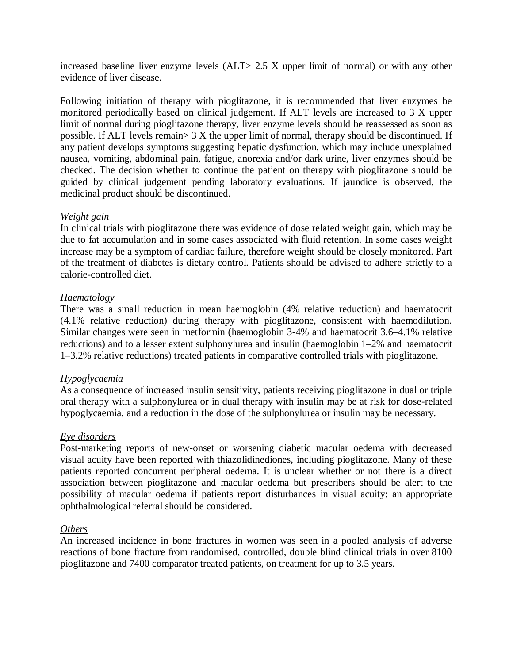increased baseline liver enzyme levels (ALT> 2.5 X upper limit of normal) or with any other evidence of liver disease.

Following initiation of therapy with pioglitazone, it is recommended that liver enzymes be monitored periodically based on clinical judgement. If ALT levels are increased to 3 X upper limit of normal during pioglitazone therapy, liver enzyme levels should be reassessed as soon as possible. If ALT levels remain  $> 3 X$  the upper limit of normal, therapy should be discontinued. If any patient develops symptoms suggesting hepatic dysfunction, which may include unexplained nausea, vomiting, abdominal pain, fatigue, anorexia and/or dark urine, liver enzymes should be checked. The decision whether to continue the patient on therapy with pioglitazone should be guided by clinical judgement pending laboratory evaluations. If jaundice is observed, the medicinal product should be discontinued.

#### *Weight gain*

In clinical trials with pioglitazone there was evidence of dose related weight gain, which may be due to fat accumulation and in some cases associated with fluid retention. In some cases weight increase may be a symptom of cardiac failure, therefore weight should be closely monitored. Part of the treatment of diabetes is dietary control. Patients should be advised to adhere strictly to a calorie-controlled diet.

# *Haematology*

There was a small reduction in mean haemoglobin (4% relative reduction) and haematocrit (4.1% relative reduction) during therapy with pioglitazone, consistent with haemodilution. Similar changes were seen in metformin (haemoglobin 3-4% and haematocrit 3.6–4.1% relative reductions) and to a lesser extent sulphonylurea and insulin (haemoglobin 1–2% and haematocrit 1–3.2% relative reductions) treated patients in comparative controlled trials with pioglitazone.

#### *Hypoglycaemia*

As a consequence of increased insulin sensitivity, patients receiving pioglitazone in dual or triple oral therapy with a sulphonylurea or in dual therapy with insulin may be at risk for dose-related hypoglycaemia, and a reduction in the dose of the sulphonylurea or insulin may be necessary.

#### *Eye disorders*

Post-marketing reports of new-onset or worsening diabetic macular oedema with decreased visual acuity have been reported with thiazolidinediones, including pioglitazone. Many of these patients reported concurrent peripheral oedema. It is unclear whether or not there is a direct association between pioglitazone and macular oedema but prescribers should be alert to the possibility of macular oedema if patients report disturbances in visual acuity; an appropriate ophthalmological referral should be considered.

#### *Others*

An increased incidence in bone fractures in women was seen in a pooled analysis of adverse reactions of bone fracture from randomised, controlled, double blind clinical trials in over 8100 pioglitazone and 7400 comparator treated patients, on treatment for up to 3.5 years.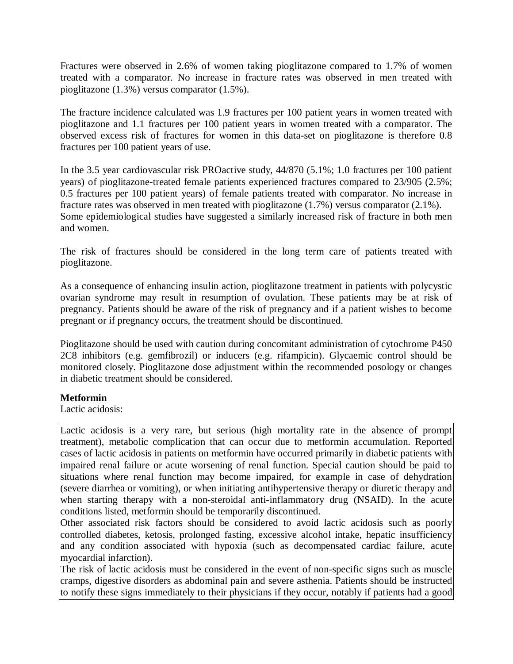Fractures were observed in 2.6% of women taking pioglitazone compared to 1.7% of women treated with a comparator. No increase in fracture rates was observed in men treated with pioglitazone (1.3%) versus comparator (1.5%).

The fracture incidence calculated was 1.9 fractures per 100 patient years in women treated with pioglitazone and 1.1 fractures per 100 patient years in women treated with a comparator. The observed excess risk of fractures for women in this data-set on pioglitazone is therefore 0.8 fractures per 100 patient years of use.

In the 3.5 year cardiovascular risk PROactive study, 44/870 (5.1%; 1.0 fractures per 100 patient years) of pioglitazone-treated female patients experienced fractures compared to 23/905 (2.5%; 0.5 fractures per 100 patient years) of female patients treated with comparator. No increase in fracture rates was observed in men treated with pioglitazone (1.7%) versus comparator (2.1%). Some epidemiological studies have suggested a similarly increased risk of fracture in both men and women.

The risk of fractures should be considered in the long term care of patients treated with pioglitazone.

As a consequence of enhancing insulin action, pioglitazone treatment in patients with polycystic ovarian syndrome may result in resumption of ovulation. These patients may be at risk of pregnancy. Patients should be aware of the risk of pregnancy and if a patient wishes to become pregnant or if pregnancy occurs, the treatment should be discontinued.

Pioglitazone should be used with caution during concomitant administration of cytochrome P450 2C8 inhibitors (e.g. gemfibrozil) or inducers (e.g. rifampicin). Glycaemic control should be monitored closely. Pioglitazone dose adjustment within the recommended posology or changes in diabetic treatment should be considered.

#### **Metformin**

Lactic acidosis:

Lactic acidosis is a very rare, but serious (high mortality rate in the absence of prompt treatment), metabolic complication that can occur due to metformin accumulation. Reported cases of lactic acidosis in patients on metformin have occurred primarily in diabetic patients with impaired renal failure or acute worsening of renal function. Special caution should be paid to situations where renal function may become impaired, for example in case of dehydration (severe diarrhea or vomiting), or when initiating antihypertensive therapy or diuretic therapy and when starting therapy with a non-steroidal anti-inflammatory drug (NSAID). In the acute conditions listed, metformin should be temporarily discontinued.

Other associated risk factors should be considered to avoid lactic acidosis such as poorly controlled diabetes, ketosis, prolonged fasting, excessive alcohol intake, hepatic insufficiency and any condition associated with hypoxia (such as decompensated cardiac failure, acute myocardial infarction).

The risk of lactic acidosis must be considered in the event of non-specific signs such as muscle cramps, digestive disorders as abdominal pain and severe asthenia. Patients should be instructed to notify these signs immediately to their physicians if they occur, notably if patients had a good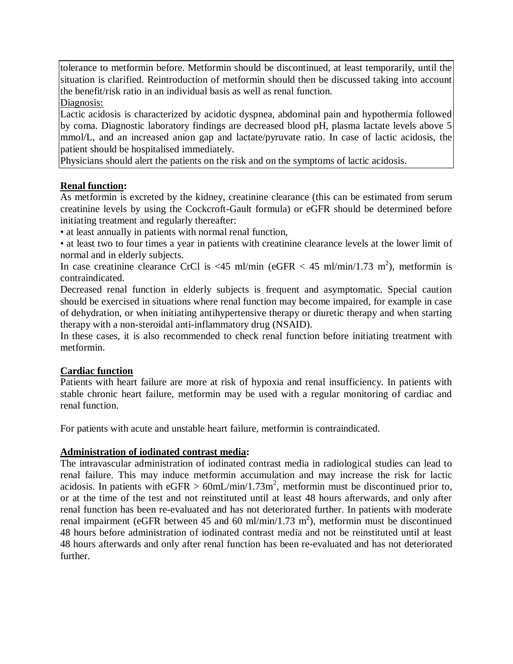tolerance to metformin before. Metformin should be discontinued, at least temporarily, until the situation is clarified. Reintroduction of metformin should then be discussed taking into account the benefit/risk ratio in an individual basis as well as renal function.

Diagnosis:

Lactic acidosis is characterized by acidotic dyspnea, abdominal pain and hypothermia followed by coma. Diagnostic laboratory findings are decreased blood pH, plasma lactate levels above 5 mmol/L, and an increased anion gap and lactate/pyruvate ratio. In case of lactic acidosis, the patient should be hospitalised immediately.

Physicians should alert the patients on the risk and on the symptoms of lactic acidosis.

# **Renal function:**

As metformin is excreted by the kidney, creatinine clearance (this can be estimated from serum creatinine levels by using the Cockcroft-Gault formula) or eGFR should be determined before initiating treatment and regularly thereafter:

• at least annually in patients with normal renal function,

• at least two to four times a year in patients with creatinine clearance levels at the lower limit of normal and in elderly subjects.

In case creatinine clearance CrCl is <45 ml/min (eGFR < 45 ml/min/1.73 m<sup>2</sup>), metformin is contraindicated.

Decreased renal function in elderly subjects is frequent and asymptomatic. Special caution should be exercised in situations where renal function may become impaired, for example in case of dehydration, or when initiating antihypertensive therapy or diuretic therapy and when starting therapy with a non-steroidal anti-inflammatory drug (NSAID).

In these cases, it is also recommended to check renal function before initiating treatment with metformin.

# **Cardiac function**

Patients with heart failure are more at risk of hypoxia and renal insufficiency. In patients with stable chronic heart failure, metformin may be used with a regular monitoring of cardiac and renal function.

For patients with acute and unstable heart failure, metformin is contraindicated.

# **Administration of iodinated contrast media:**

The intravascular administration of iodinated contrast media in radiological studies can lead to renal failure. This may induce metformin accumulation and may increase the risk for lactic acidosis. In patients with  $eGFR > 60$ mL/min/1.73m<sup>2</sup>, metformin must be discontinued prior to, or at the time of the test and not reinstituted until at least 48 hours afterwards, and only after renal function has been re-evaluated and has not deteriorated further. In patients with moderate renal impairment (eGFR between 45 and 60 ml/min/1.73 m<sup>2</sup>), metformin must be discontinued 48 hours before administration of iodinated contrast media and not be reinstituted until at least 48 hours afterwards and only after renal function has been re-evaluated and has not deteriorated further.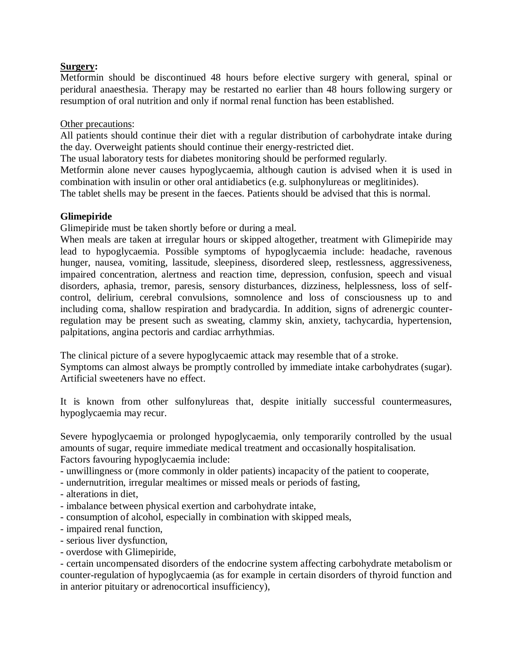# **Surgery:**

Metformin should be discontinued 48 hours before elective surgery with general, spinal or peridural anaesthesia. Therapy may be restarted no earlier than 48 hours following surgery or resumption of oral nutrition and only if normal renal function has been established.

### Other precautions:

All patients should continue their diet with a regular distribution of carbohydrate intake during the day. Overweight patients should continue their energy-restricted diet.

The usual laboratory tests for diabetes monitoring should be performed regularly.

Metformin alone never causes hypoglycaemia, although caution is advised when it is used in combination with insulin or other oral antidiabetics (e.g. sulphonylureas or meglitinides).

The tablet shells may be present in the faeces. Patients should be advised that this is normal.

# **Glimepiride**

Glimepiride must be taken shortly before or during a meal.

When meals are taken at irregular hours or skipped altogether, treatment with Glimepiride may lead to hypoglycaemia. Possible symptoms of hypoglycaemia include: headache, ravenous hunger, nausea, vomiting, lassitude, sleepiness, disordered sleep, restlessness, aggressiveness, impaired concentration, alertness and reaction time, depression, confusion, speech and visual disorders, aphasia, tremor, paresis, sensory disturbances, dizziness, helplessness, loss of selfcontrol, delirium, cerebral convulsions, somnolence and loss of consciousness up to and including coma, shallow respiration and bradycardia. In addition, signs of adrenergic counterregulation may be present such as sweating, clammy skin, anxiety, tachycardia, hypertension, palpitations, angina pectoris and cardiac arrhythmias.

The clinical picture of a severe hypoglycaemic attack may resemble that of a stroke.

Symptoms can almost always be promptly controlled by immediate intake carbohydrates (sugar). Artificial sweeteners have no effect.

It is known from other sulfonylureas that, despite initially successful countermeasures, hypoglycaemia may recur.

Severe hypoglycaemia or prolonged hypoglycaemia, only temporarily controlled by the usual amounts of sugar, require immediate medical treatment and occasionally hospitalisation. Factors favouring hypoglycaemia include:

- unwillingness or (more commonly in older patients) incapacity of the patient to cooperate,
- undernutrition, irregular mealtimes or missed meals or periods of fasting,
- alterations in diet,
- imbalance between physical exertion and carbohydrate intake,
- consumption of alcohol, especially in combination with skipped meals,
- impaired renal function,
- serious liver dysfunction,
- overdose with Glimepiride,

- certain uncompensated disorders of the endocrine system affecting carbohydrate metabolism or counter-regulation of hypoglycaemia (as for example in certain disorders of thyroid function and in anterior pituitary or adrenocortical insufficiency),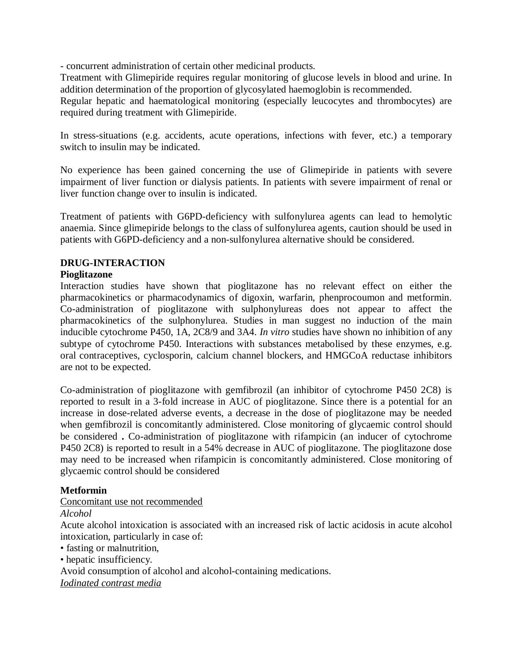- concurrent administration of certain other medicinal products.

Treatment with Glimepiride requires regular monitoring of glucose levels in blood and urine. In addition determination of the proportion of glycosylated haemoglobin is recommended.

Regular hepatic and haematological monitoring (especially leucocytes and thrombocytes) are required during treatment with Glimepiride.

In stress-situations (e.g. accidents, acute operations, infections with fever, etc.) a temporary switch to insulin may be indicated.

No experience has been gained concerning the use of Glimepiride in patients with severe impairment of liver function or dialysis patients. In patients with severe impairment of renal or liver function change over to insulin is indicated.

Treatment of patients with G6PD-deficiency with sulfonylurea agents can lead to hemolytic anaemia. Since glimepiride belongs to the class of sulfonylurea agents, caution should be used in patients with G6PD-deficiency and a non-sulfonylurea alternative should be considered.

# **DRUG-INTERACTION**

# **Pioglitazone**

Interaction studies have shown that pioglitazone has no relevant effect on either the pharmacokinetics or pharmacodynamics of digoxin, warfarin, phenprocoumon and metformin. Co-administration of pioglitazone with sulphonylureas does not appear to affect the pharmacokinetics of the sulphonylurea. Studies in man suggest no induction of the main inducible cytochrome P450, 1A, 2C8/9 and 3A4. *In vitro* studies have shown no inhibition of any subtype of cytochrome P450. Interactions with substances metabolised by these enzymes, e.g. oral contraceptives, cyclosporin, calcium channel blockers, and HMGCoA reductase inhibitors are not to be expected.

Co-administration of pioglitazone with gemfibrozil (an inhibitor of cytochrome P450 2C8) is reported to result in a 3-fold increase in AUC of pioglitazone. Since there is a potential for an increase in dose-related adverse events, a decrease in the dose of pioglitazone may be needed when gemfibrozil is concomitantly administered. Close monitoring of glycaemic control should be considered **.** Co-administration of pioglitazone with rifampicin (an inducer of cytochrome P450 2C8) is reported to result in a 54% decrease in AUC of pioglitazone. The pioglitazone dose may need to be increased when rifampicin is concomitantly administered. Close monitoring of glycaemic control should be considered

# **Metformin**

#### Concomitant use not recommended

#### *Alcohol*

Acute alcohol intoxication is associated with an increased risk of lactic acidosis in acute alcohol intoxication, particularly in case of:

• fasting or malnutrition,

• hepatic insufficiency.

Avoid consumption of alcohol and alcohol-containing medications.

*Iodinated contrast media*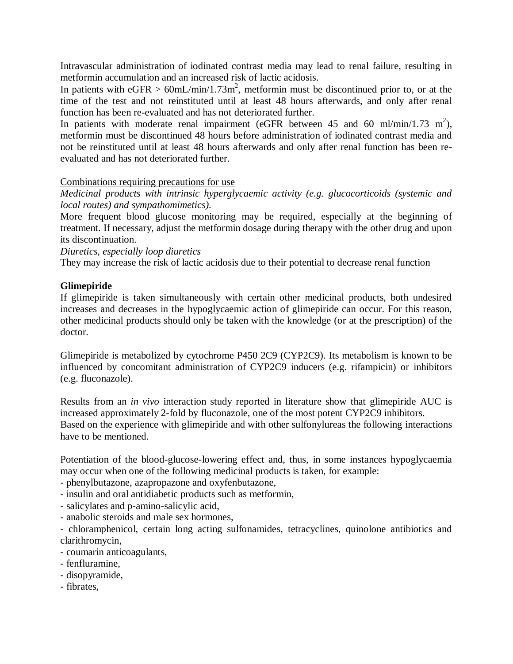Intravascular administration of iodinated contrast media may lead to renal failure, resulting in metformin accumulation and an increased risk of lactic acidosis.

In patients with  $eGFR > 60$ mL/min/1.73m<sup>2</sup>, metformin must be discontinued prior to, or at the time of the test and not reinstituted until at least 48 hours afterwards, and only after renal function has been re-evaluated and has not deteriorated further.

In patients with moderate renal impairment (eGFR between 45 and 60 ml/min/1.73 m<sup>2</sup>), metformin must be discontinued 48 hours before administration of iodinated contrast media and not be reinstituted until at least 48 hours afterwards and only after renal function has been reevaluated and has not deteriorated further.

# Combinations requiring precautions for use

*Medicinal products with intrinsic hyperglycaemic activity (e.g. glucocorticoids (systemic and local routes) and sympathomimetics).*

More frequent blood glucose monitoring may be required, especially at the beginning of treatment. If necessary, adjust the metformin dosage during therapy with the other drug and upon its discontinuation.

*Diuretics, especially loop diuretics*

They may increase the risk of lactic acidosis due to their potential to decrease renal function

# **Glimepiride**

If glimepiride is taken simultaneously with certain other medicinal products, both undesired increases and decreases in the hypoglycaemic action of glimepiride can occur. For this reason, other medicinal products should only be taken with the knowledge (or at the prescription) of the doctor.

Glimepiride is metabolized by cytochrome P450 2C9 (CYP2C9). Its metabolism is known to be influenced by concomitant administration of CYP2C9 inducers (e.g. rifampicin) or inhibitors (e.g. fluconazole).

Results from an *in vivo* interaction study reported in literature show that glimepiride AUC is increased approximately 2-fold by fluconazole, one of the most potent CYP2C9 inhibitors. Based on the experience with glimepiride and with other sulfonylureas the following interactions have to be mentioned.

Potentiation of the blood-glucose-lowering effect and, thus, in some instances hypoglycaemia may occur when one of the following medicinal products is taken, for example:

- phenylbutazone, azapropazone and oxyfenbutazone,
- insulin and oral antidiabetic products such as metformin,
- salicylates and p-amino-salicylic acid,
- anabolic steroids and male sex hormones,

- chloramphenicol, certain long acting sulfonamides, tetracyclines, quinolone antibiotics and clarithromycin,

- coumarin anticoagulants,
- fenfluramine,
- disopyramide,
- fibrates,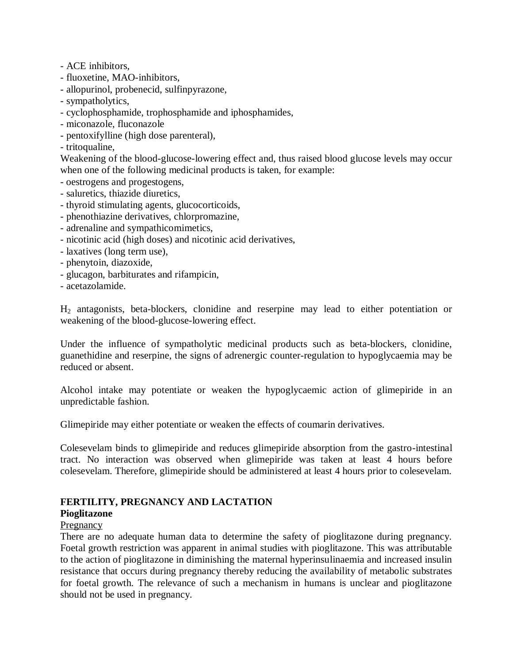- ACE inhibitors,
- fluoxetine, MAO-inhibitors,
- allopurinol, probenecid, sulfinpyrazone,
- sympatholytics,
- cyclophosphamide, trophosphamide and iphosphamides,
- miconazole, fluconazole
- pentoxifylline (high dose parenteral),
- tritoqualine,

Weakening of the blood-glucose-lowering effect and, thus raised blood glucose levels may occur when one of the following medicinal products is taken, for example:

- oestrogens and progestogens,
- saluretics, thiazide diuretics,
- thyroid stimulating agents, glucocorticoids,
- phenothiazine derivatives, chlorpromazine,
- adrenaline and sympathicomimetics,
- nicotinic acid (high doses) and nicotinic acid derivatives,
- laxatives (long term use),
- phenytoin, diazoxide,
- glucagon, barbiturates and rifampicin,
- acetazolamide.

H<sup>2</sup> antagonists, beta-blockers, clonidine and reserpine may lead to either potentiation or weakening of the blood-glucose-lowering effect.

Under the influence of sympatholytic medicinal products such as beta-blockers, clonidine, guanethidine and reserpine, the signs of adrenergic counter-regulation to hypoglycaemia may be reduced or absent.

Alcohol intake may potentiate or weaken the hypoglycaemic action of glimepiride in an unpredictable fashion.

Glimepiride may either potentiate or weaken the effects of coumarin derivatives.

Colesevelam binds to glimepiride and reduces glimepiride absorption from the gastro-intestinal tract. No interaction was observed when glimepiride was taken at least 4 hours before colesevelam. Therefore, glimepiride should be administered at least 4 hours prior to colesevelam.

#### **FERTILITY, PREGNANCY AND LACTATION Pioglitazone**

# Pregnancy

There are no adequate human data to determine the safety of pioglitazone during pregnancy. Foetal growth restriction was apparent in animal studies with pioglitazone. This was attributable to the action of pioglitazone in diminishing the maternal hyperinsulinaemia and increased insulin resistance that occurs during pregnancy thereby reducing the availability of metabolic substrates for foetal growth. The relevance of such a mechanism in humans is unclear and pioglitazone should not be used in pregnancy.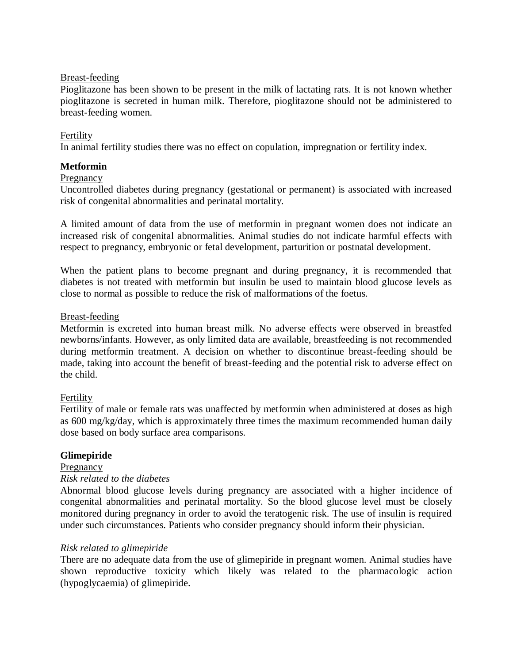#### Breast-feeding

Pioglitazone has been shown to be present in the milk of lactating rats. It is not known whether pioglitazone is secreted in human milk. Therefore, pioglitazone should not be administered to breast-feeding women.

### Fertility

In animal fertility studies there was no effect on copulation, impregnation or fertility index.

# **Metformin**

#### Pregnancy

Uncontrolled diabetes during pregnancy (gestational or permanent) is associated with increased risk of congenital abnormalities and perinatal mortality.

A limited amount of data from the use of metformin in pregnant women does not indicate an increased risk of congenital abnormalities. Animal studies do not indicate harmful effects with respect to pregnancy, embryonic or fetal development, parturition or postnatal development.

When the patient plans to become pregnant and during pregnancy, it is recommended that diabetes is not treated with metformin but insulin be used to maintain blood glucose levels as close to normal as possible to reduce the risk of malformations of the foetus.

#### Breast-feeding

Metformin is excreted into human breast milk. No adverse effects were observed in breastfed newborns/infants. However, as only limited data are available, breastfeeding is not recommended during metformin treatment. A decision on whether to discontinue breast-feeding should be made, taking into account the benefit of breast-feeding and the potential risk to adverse effect on the child.

# Fertility

Fertility of male or female rats was unaffected by metformin when administered at doses as high as 600 mg/kg/day, which is approximately three times the maximum recommended human daily dose based on body surface area comparisons.

# **Glimepiride**

# Pregnancy

### *Risk related to the diabetes*

Abnormal blood glucose levels during pregnancy are associated with a higher incidence of congenital abnormalities and perinatal mortality. So the blood glucose level must be closely monitored during pregnancy in order to avoid the teratogenic risk. The use of insulin is required under such circumstances. Patients who consider pregnancy should inform their physician.

#### *Risk related to glimepiride*

There are no adequate data from the use of glimepiride in pregnant women. Animal studies have shown reproductive toxicity which likely was related to the pharmacologic action (hypoglycaemia) of glimepiride.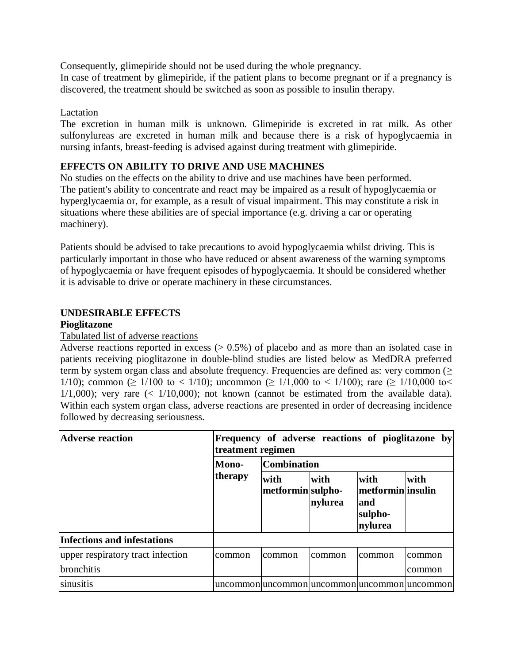Consequently, glimepiride should not be used during the whole pregnancy. In case of treatment by glimepiride, if the patient plans to become pregnant or if a pregnancy is discovered, the treatment should be switched as soon as possible to insulin therapy.

# Lactation

The excretion in human milk is unknown. Glimepiride is excreted in rat milk. As other sulfonylureas are excreted in human milk and because there is a risk of hypoglycaemia in nursing infants, breast-feeding is advised against during treatment with glimepiride.

# **EFFECTS ON ABILITY TO DRIVE AND USE MACHINES**

No studies on the effects on the ability to drive and use machines have been performed. The patient's ability to concentrate and react may be impaired as a result of hypoglycaemia or hyperglycaemia or, for example, as a result of visual impairment. This may constitute a risk in situations where these abilities are of special importance (e.g. driving a car or operating machinery).

Patients should be advised to take precautions to avoid hypoglycaemia whilst driving. This is particularly important in those who have reduced or absent awareness of the warning symptoms of hypoglycaemia or have frequent episodes of hypoglycaemia. It should be considered whether it is advisable to drive or operate machinery in these circumstances.

# **UNDESIRABLE EFFECTS**

#### **Pioglitazone**

#### Tabulated list of adverse reactions

Adverse reactions reported in excess  $(0.5\%)$  of placebo and as more than an isolated case in patients receiving pioglitazone in double-blind studies are listed below as MedDRA preferred term by system organ class and absolute frequency. Frequencies are defined as: very common  $(\geq$ 1/10); common ( $\geq 1/100$  to < 1/10); uncommon ( $\geq 1/1,000$  to < 1/100); rare ( $\geq 1/10,000$  to <  $1/1,000$ ; very rare  $\left($   $\leq$   $1/10,000$ ; not known (cannot be estimated from the available data). Within each system organ class, adverse reactions are presented in order of decreasing incidence followed by decreasing seriousness.

| <b>Adverse reaction</b>           | Frequency of adverse reactions of pioglitazone by<br>treatment regimen |                                              |                 |                                                         |         |  |  |
|-----------------------------------|------------------------------------------------------------------------|----------------------------------------------|-----------------|---------------------------------------------------------|---------|--|--|
|                                   | Mono-                                                                  | <b>Combination</b>                           |                 |                                                         |         |  |  |
|                                   | therapy                                                                | with<br>metformin sulpho-                    | with<br>nylurea | with<br>metformin insulin<br>land<br>sulpho-<br>nylurea | with    |  |  |
| Infections and infestations       |                                                                        |                                              |                 |                                                         |         |  |  |
| upper respiratory tract infection | common                                                                 | common                                       | common          | common                                                  | Icommon |  |  |
| bronchitis                        |                                                                        |                                              |                 |                                                         | common  |  |  |
| sinusitis                         |                                                                        | uncommon uncommon uncommon uncommon uncommon |                 |                                                         |         |  |  |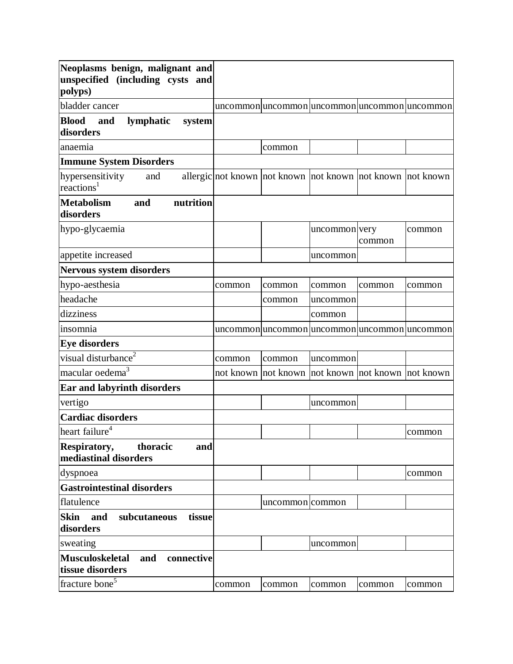| Neoplasms benign, malignant and<br>unspecified (including cysts and |        |                                                            |               |        |        |
|---------------------------------------------------------------------|--------|------------------------------------------------------------|---------------|--------|--------|
| polyps)                                                             |        |                                                            |               |        |        |
| bladder cancer                                                      |        | uncommon uncommon uncommon uncommon uncommon               |               |        |        |
| <b>Blood</b><br>lymphatic<br>and<br>system                          |        |                                                            |               |        |        |
| disorders                                                           |        |                                                            |               |        |        |
| anaemia                                                             |        | common                                                     |               |        |        |
| <b>Immune System Disorders</b>                                      |        |                                                            |               |        |        |
| hypersensitivity<br>and<br>reactions <sup>1</sup>                   |        | allergic not known not known not known not known not known |               |        |        |
| <b>Metabolism</b><br>nutrition<br>and<br>disorders                  |        |                                                            |               |        |        |
| hypo-glycaemia                                                      |        |                                                            | uncommon very | common | common |
| appetite increased                                                  |        |                                                            | uncommon      |        |        |
| <b>Nervous system disorders</b>                                     |        |                                                            |               |        |        |
| hypo-aesthesia                                                      | common | common                                                     | common        | common | common |
| headache                                                            |        | common                                                     | uncommon      |        |        |
| dizziness                                                           |        |                                                            | common        |        |        |
| insomnia                                                            |        | uncommon uncommon uncommon uncommon uncommon               |               |        |        |
| <b>Eye disorders</b>                                                |        |                                                            |               |        |        |
| visual disturbance <sup>2</sup>                                     | common | common                                                     | uncommon      |        |        |
| macular oedema <sup>3</sup>                                         |        | not known not known not known not known not known          |               |        |        |
| <b>Ear and labyrinth disorders</b>                                  |        |                                                            |               |        |        |
| vertigo                                                             |        |                                                            | uncommon      |        |        |
| <b>Cardiac disorders</b>                                            |        |                                                            |               |        |        |
| heart failure <sup>4</sup>                                          |        |                                                            |               |        | common |
| thoracic<br>Respiratory,<br>and<br>mediastinal disorders            |        |                                                            |               |        |        |
| dyspnoea                                                            |        |                                                            |               |        | common |
| <b>Gastrointestinal disorders</b>                                   |        |                                                            |               |        |        |
| flatulence                                                          |        | uncommon common                                            |               |        |        |
| Skin and<br>subcutaneous<br>tissue<br>disorders                     |        |                                                            |               |        |        |
| sweating                                                            |        |                                                            | uncommon      |        |        |
| <b>Musculoskeletal</b><br>and<br>connective<br>tissue disorders     |        |                                                            |               |        |        |
| fracture bone <sup>5</sup>                                          | common | common                                                     | common        | common | common |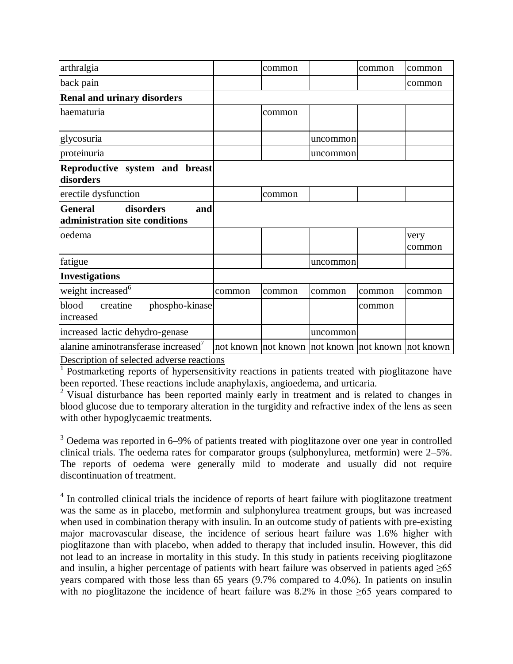| arthralgia                                                           |        | common |          | common | common         |
|----------------------------------------------------------------------|--------|--------|----------|--------|----------------|
| back pain                                                            |        |        |          |        | common         |
| <b>Renal and urinary disorders</b>                                   |        |        |          |        |                |
| haematuria                                                           |        | common |          |        |                |
| glycosuria                                                           |        |        | uncommon |        |                |
| proteinuria                                                          |        |        | uncommon |        |                |
| Reproductive system and breast<br>disorders                          |        |        |          |        |                |
| erectile dysfunction                                                 |        | common |          |        |                |
| disorders<br><b>General</b><br>and<br>administration site conditions |        |        |          |        |                |
| oedema                                                               |        |        |          |        | very<br>common |
| fatigue                                                              |        |        | uncommon |        |                |
| <b>Investigations</b>                                                |        |        |          |        |                |
| weight increased <sup>6</sup>                                        | common | common | common   | common | common         |
| blood<br>creatine<br>phospho-kinase<br>increased                     |        |        |          | common |                |
| increased lactic dehydro-genase                                      |        |        | uncommon |        |                |
| $\tau$                                                               |        |        |          |        |                |

alanine aminotransferase increased<sup>7</sup>  $\vert$ not known  $\vert$ not known  $\vert$ not known  $\vert$ not known Description of selected adverse reactions

 $\frac{1}{1}$  Postmarketing reports of hypersensitivity reactions in patients treated with pioglitazone have been reported. These reactions include anaphylaxis, angioedema, and urticaria.

<sup>2</sup> Visual disturbance has been reported mainly early in treatment and is related to changes in blood glucose due to temporary alteration in the turgidity and refractive index of the lens as seen with other hypoglycaemic treatments.

<sup>3</sup> Oedema was reported in 6–9% of patients treated with pioglitazone over one year in controlled clinical trials. The oedema rates for comparator groups (sulphonylurea, metformin) were 2–5%. The reports of oedema were generally mild to moderate and usually did not require discontinuation of treatment.

<sup>4</sup> In controlled clinical trials the incidence of reports of heart failure with pioglitazone treatment was the same as in placebo, metformin and sulphonylurea treatment groups, but was increased when used in combination therapy with insulin. In an outcome study of patients with pre-existing major macrovascular disease, the incidence of serious heart failure was 1.6% higher with pioglitazone than with placebo, when added to therapy that included insulin. However, this did not lead to an increase in mortality in this study. In this study in patients receiving pioglitazone and insulin, a higher percentage of patients with heart failure was observed in patients aged  $\geq 65$ years compared with those less than 65 years (9.7% compared to 4.0%). In patients on insulin with no pioglitazone the incidence of heart failure was 8.2% in those  $\geq 65$  years compared to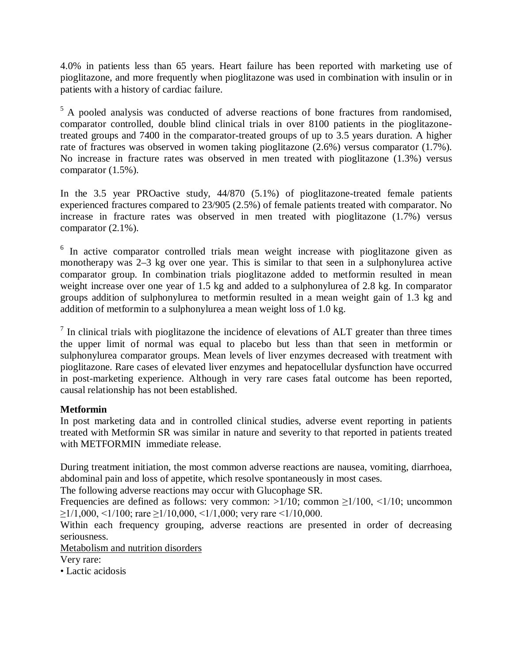4.0% in patients less than 65 years. Heart failure has been reported with marketing use of pioglitazone, and more frequently when pioglitazone was used in combination with insulin or in patients with a history of cardiac failure.

<sup>5</sup> A pooled analysis was conducted of adverse reactions of bone fractures from randomised, comparator controlled, double blind clinical trials in over 8100 patients in the pioglitazonetreated groups and 7400 in the comparator-treated groups of up to 3.5 years duration. A higher rate of fractures was observed in women taking pioglitazone (2.6%) versus comparator (1.7%). No increase in fracture rates was observed in men treated with pioglitazone (1.3%) versus comparator (1.5%).

In the 3.5 year PROactive study, 44/870 (5.1%) of pioglitazone-treated female patients experienced fractures compared to 23/905 (2.5%) of female patients treated with comparator. No increase in fracture rates was observed in men treated with pioglitazone (1.7%) versus comparator (2.1%).

<sup>6</sup> In active comparator controlled trials mean weight increase with pioglitazone given as monotherapy was 2–3 kg over one year. This is similar to that seen in a sulphonylurea active comparator group. In combination trials pioglitazone added to metformin resulted in mean weight increase over one year of 1.5 kg and added to a sulphonylurea of 2.8 kg. In comparator groups addition of sulphonylurea to metformin resulted in a mean weight gain of 1.3 kg and addition of metformin to a sulphonylurea a mean weight loss of 1.0 kg.

 $<sup>7</sup>$  In clinical trials with pioglitazone the incidence of elevations of ALT greater than three times</sup> the upper limit of normal was equal to placebo but less than that seen in metformin or sulphonylurea comparator groups. Mean levels of liver enzymes decreased with treatment with pioglitazone. Rare cases of elevated liver enzymes and hepatocellular dysfunction have occurred in post-marketing experience. Although in very rare cases fatal outcome has been reported, causal relationship has not been established.

# **Metformin**

In post marketing data and in controlled clinical studies, adverse event reporting in patients treated with Metformin SR was similar in nature and severity to that reported in patients treated with METFORMIN immediate release.

During treatment initiation, the most common adverse reactions are nausea, vomiting, diarrhoea, abdominal pain and loss of appetite, which resolve spontaneously in most cases.

The following adverse reactions may occur with Glucophage SR.

Frequencies are defined as follows: very common:  $>1/10$ ; common  $\geq 1/100$ ,  $\leq 1/10$ ; uncommon  $\geq$ 1/1,000, <1/100; rare  $\geq$ 1/10,000, <1/1,000; very rare <1/10,000.

Within each frequency grouping, adverse reactions are presented in order of decreasing seriousness.

Metabolism and nutrition disorders

Very rare:

• Lactic acidosis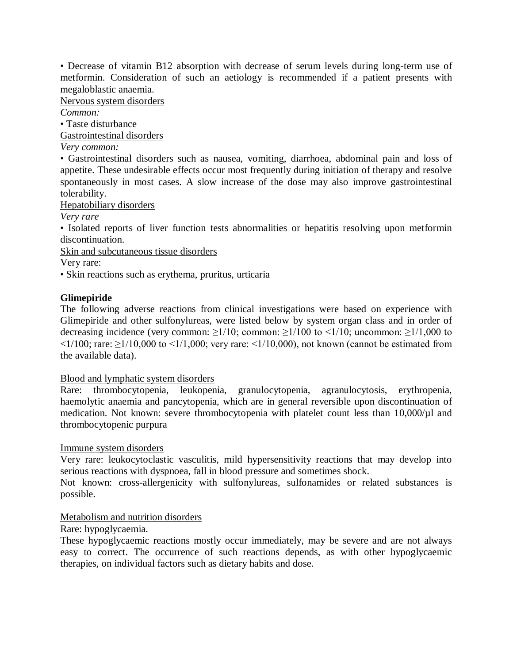• Decrease of vitamin B12 absorption with decrease of serum levels during long-term use of metformin. Consideration of such an aetiology is recommended if a patient presents with megaloblastic anaemia.

Nervous system disorders

*Common:* 

• Taste disturbance

Gastrointestinal disorders

*Very common:* 

• Gastrointestinal disorders such as nausea, vomiting, diarrhoea, abdominal pain and loss of appetite. These undesirable effects occur most frequently during initiation of therapy and resolve spontaneously in most cases. A slow increase of the dose may also improve gastrointestinal tolerability.

Hepatobiliary disorders

*Very rare*

• Isolated reports of liver function tests abnormalities or hepatitis resolving upon metformin discontinuation.

Skin and subcutaneous tissue disorders

Very rare:

• Skin reactions such as erythema, pruritus, urticaria

# **Glimepiride**

The following adverse reactions from clinical investigations were based on experience with Glimepiride and other sulfonylureas, were listed below by system organ class and in order of decreasing incidence (very common:  $\geq 1/10$ ; common:  $\geq 1/100$  to  $\leq 1/10$ ; uncommon:  $\geq 1/1,000$  to  $\langle 1/100$ ; rare:  $\geq 1/10,000$  to  $\langle 1/1,000$ ; very rare:  $\langle 1/10,000 \rangle$ , not known (cannot be estimated from the available data).

#### Blood and lymphatic system disorders

Rare: thrombocytopenia, leukopenia, granulocytopenia, agranulocytosis, erythropenia, haemolytic anaemia and pancytopenia, which are in general reversible upon discontinuation of medication. Not known: severe thrombocytopenia with platelet count less than 10,000/µl and thrombocytopenic purpura

#### Immune system disorders

Very rare: leukocytoclastic vasculitis, mild hypersensitivity reactions that may develop into serious reactions with dyspnoea, fall in blood pressure and sometimes shock.

Not known: cross-allergenicity with sulfonylureas, sulfonamides or related substances is possible.

# Metabolism and nutrition disorders

#### Rare: hypoglycaemia.

These hypoglycaemic reactions mostly occur immediately, may be severe and are not always easy to correct. The occurrence of such reactions depends, as with other hypoglycaemic therapies, on individual factors such as dietary habits and dose.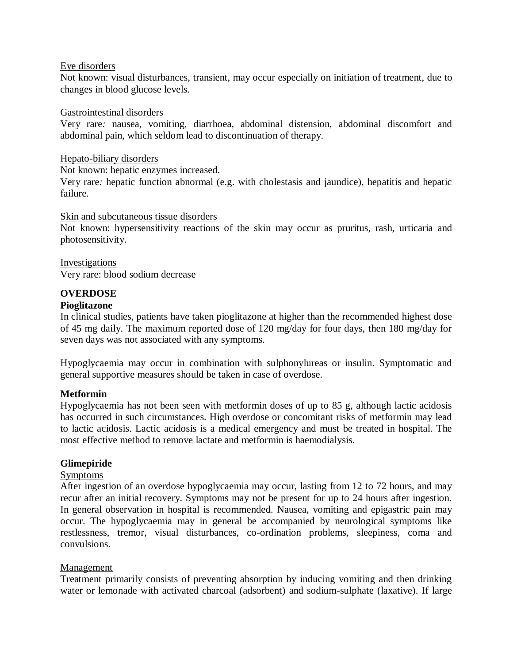#### Eye disorders

Not known: visual disturbances, transient, may occur especially on initiation of treatment, due to changes in blood glucose levels.

#### Gastrointestinal disorders

Very rare*:* nausea, vomiting, diarrhoea, abdominal distension, abdominal discomfort and abdominal pain, which seldom lead to discontinuation of therapy.

#### Hepato-biliary disorders

Not known: hepatic enzymes increased.

Very rare*:* hepatic function abnormal (e.g. with cholestasis and jaundice), hepatitis and hepatic failure.

#### Skin and subcutaneous tissue disorders

Not known: hypersensitivity reactions of the skin may occur as pruritus, rash, urticaria and photosensitivity.

#### Investigations Very rare: blood sodium decrease

#### **OVERDOSE**

#### **Pioglitazone**

In clinical studies, patients have taken pioglitazone at higher than the recommended highest dose of 45 mg daily. The maximum reported dose of 120 mg/day for four days, then 180 mg/day for seven days was not associated with any symptoms.

Hypoglycaemia may occur in combination with sulphonylureas or insulin. Symptomatic and general supportive measures should be taken in case of overdose.

#### **Metformin**

Hypoglycaemia has not been seen with metformin doses of up to 85 g, although lactic acidosis has occurred in such circumstances. High overdose or concomitant risks of metformin may lead to lactic acidosis. Lactic acidosis is a medical emergency and must be treated in hospital. The most effective method to remove lactate and metformin is haemodialysis.

#### **Glimepiride**

#### Symptoms

After ingestion of an overdose hypoglycaemia may occur, lasting from 12 to 72 hours, and may recur after an initial recovery. Symptoms may not be present for up to 24 hours after ingestion. In general observation in hospital is recommended. Nausea, vomiting and epigastric pain may occur. The hypoglycaemia may in general be accompanied by neurological symptoms like restlessness, tremor, visual disturbances, co-ordination problems, sleepiness, coma and convulsions.

#### Management

Treatment primarily consists of preventing absorption by inducing vomiting and then drinking water or lemonade with activated charcoal (adsorbent) and sodium-sulphate (laxative). If large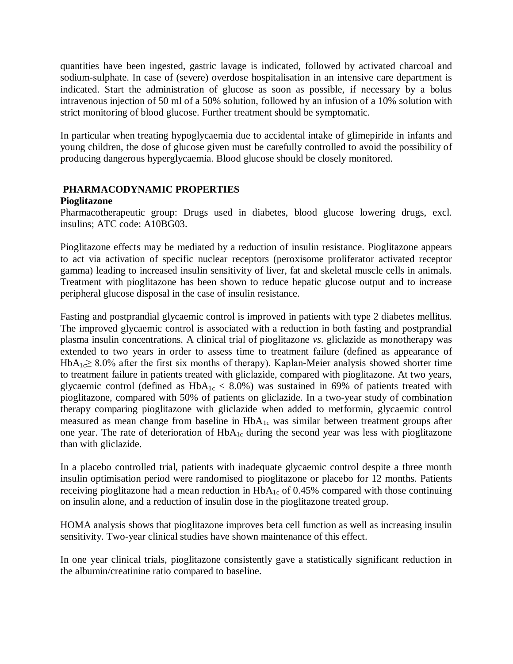quantities have been ingested, gastric lavage is indicated, followed by activated charcoal and sodium-sulphate. In case of (severe) overdose hospitalisation in an intensive care department is indicated. Start the administration of glucose as soon as possible, if necessary by a bolus intravenous injection of 50 ml of a 50% solution, followed by an infusion of a 10% solution with strict monitoring of blood glucose. Further treatment should be symptomatic.

In particular when treating hypoglycaemia due to accidental intake of glimepiride in infants and young children, the dose of glucose given must be carefully controlled to avoid the possibility of producing dangerous hyperglycaemia. Blood glucose should be closely monitored.

# **PHARMACODYNAMIC PROPERTIES**

#### **Pioglitazone**

Pharmacotherapeutic group: Drugs used in diabetes, blood glucose lowering drugs, excl. insulins; ATC code: A10BG03.

Pioglitazone effects may be mediated by a reduction of insulin resistance. Pioglitazone appears to act via activation of specific nuclear receptors (peroxisome proliferator activated receptor gamma) leading to increased insulin sensitivity of liver, fat and skeletal muscle cells in animals. Treatment with pioglitazone has been shown to reduce hepatic glucose output and to increase peripheral glucose disposal in the case of insulin resistance.

Fasting and postprandial glycaemic control is improved in patients with type 2 diabetes mellitus. The improved glycaemic control is associated with a reduction in both fasting and postprandial plasma insulin concentrations. A clinical trial of pioglitazone *vs*. gliclazide as monotherapy was extended to two years in order to assess time to treatment failure (defined as appearance of  $HbA_1 \geq 8.0\%$  after the first six months of therapy). Kaplan-Meier analysis showed shorter time to treatment failure in patients treated with gliclazide, compared with pioglitazone. At two years, glycaemic control (defined as  $HbA_{1c} < 8.0\%$ ) was sustained in 69% of patients treated with pioglitazone, compared with 50% of patients on gliclazide. In a two-year study of combination therapy comparing pioglitazone with gliclazide when added to metformin, glycaemic control measured as mean change from baseline in  $HbA_{1c}$  was similar between treatment groups after one year. The rate of deterioration of  $HbA_{1c}$  during the second year was less with pioglitazone than with gliclazide.

In a placebo controlled trial, patients with inadequate glycaemic control despite a three month insulin optimisation period were randomised to pioglitazone or placebo for 12 months. Patients receiving pioglitazone had a mean reduction in  $HbA_{1c}$  of 0.45% compared with those continuing on insulin alone, and a reduction of insulin dose in the pioglitazone treated group.

HOMA analysis shows that pioglitazone improves beta cell function as well as increasing insulin sensitivity. Two-year clinical studies have shown maintenance of this effect.

In one year clinical trials, pioglitazone consistently gave a statistically significant reduction in the albumin/creatinine ratio compared to baseline.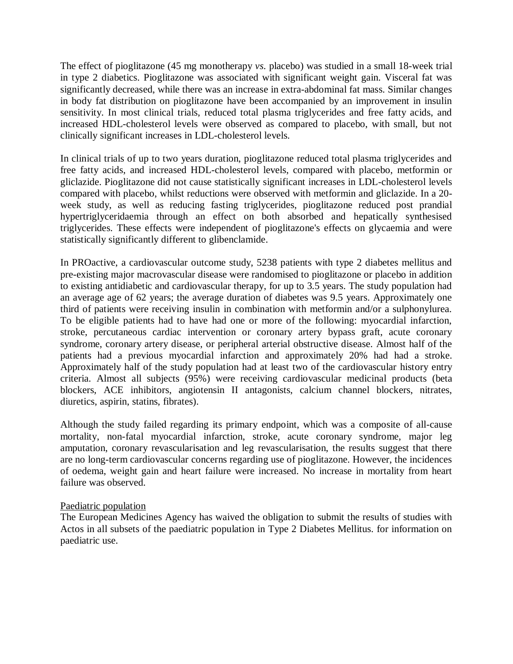The effect of pioglitazone (45 mg monotherapy *vs.* placebo) was studied in a small 18-week trial in type 2 diabetics. Pioglitazone was associated with significant weight gain. Visceral fat was significantly decreased, while there was an increase in extra-abdominal fat mass. Similar changes in body fat distribution on pioglitazone have been accompanied by an improvement in insulin sensitivity. In most clinical trials, reduced total plasma triglycerides and free fatty acids, and increased HDL-cholesterol levels were observed as compared to placebo, with small, but not clinically significant increases in LDL-cholesterol levels.

In clinical trials of up to two years duration, pioglitazone reduced total plasma triglycerides and free fatty acids, and increased HDL-cholesterol levels, compared with placebo, metformin or gliclazide. Pioglitazone did not cause statistically significant increases in LDL-cholesterol levels compared with placebo, whilst reductions were observed with metformin and gliclazide. In a 20 week study, as well as reducing fasting triglycerides, pioglitazone reduced post prandial hypertriglyceridaemia through an effect on both absorbed and hepatically synthesised triglycerides. These effects were independent of pioglitazone's effects on glycaemia and were statistically significantly different to glibenclamide.

In PROactive, a cardiovascular outcome study, 5238 patients with type 2 diabetes mellitus and pre-existing major macrovascular disease were randomised to pioglitazone or placebo in addition to existing antidiabetic and cardiovascular therapy, for up to 3.5 years. The study population had an average age of 62 years; the average duration of diabetes was 9.5 years. Approximately one third of patients were receiving insulin in combination with metformin and/or a sulphonylurea. To be eligible patients had to have had one or more of the following: myocardial infarction, stroke, percutaneous cardiac intervention or coronary artery bypass graft, acute coronary syndrome, coronary artery disease, or peripheral arterial obstructive disease. Almost half of the patients had a previous myocardial infarction and approximately 20% had had a stroke. Approximately half of the study population had at least two of the cardiovascular history entry criteria. Almost all subjects (95%) were receiving cardiovascular medicinal products (beta blockers, ACE inhibitors, angiotensin II antagonists, calcium channel blockers, nitrates, diuretics, aspirin, statins, fibrates).

Although the study failed regarding its primary endpoint, which was a composite of all-cause mortality, non-fatal myocardial infarction, stroke, acute coronary syndrome, major leg amputation, coronary revascularisation and leg revascularisation, the results suggest that there are no long-term cardiovascular concerns regarding use of pioglitazone. However, the incidences of oedema, weight gain and heart failure were increased. No increase in mortality from heart failure was observed.

#### Paediatric population

The European Medicines Agency has waived the obligation to submit the results of studies with Actos in all subsets of the paediatric population in Type 2 Diabetes Mellitus. for information on paediatric use.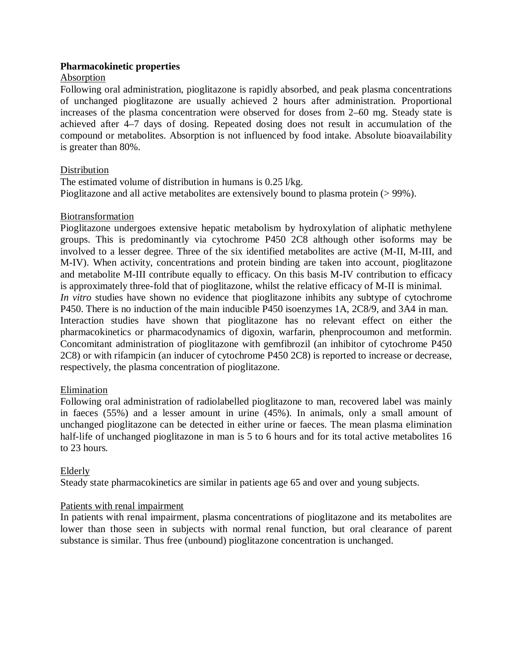#### **Pharmacokinetic properties**

#### Absorption

Following oral administration, pioglitazone is rapidly absorbed, and peak plasma concentrations of unchanged pioglitazone are usually achieved 2 hours after administration. Proportional increases of the plasma concentration were observed for doses from 2–60 mg. Steady state is achieved after 4–7 days of dosing. Repeated dosing does not result in accumulation of the compound or metabolites. Absorption is not influenced by food intake. Absolute bioavailability is greater than 80%.

#### Distribution

The estimated volume of distribution in humans is 0.25 l/kg. Pioglitazone and all active metabolites are extensively bound to plasma protein (> 99%).

#### Biotransformation

Pioglitazone undergoes extensive hepatic metabolism by hydroxylation of aliphatic methylene groups. This is predominantly via cytochrome P450 2C8 although other isoforms may be involved to a lesser degree. Three of the six identified metabolites are active (M-II, M-III, and M-IV). When activity, concentrations and protein binding are taken into account, pioglitazone and metabolite M-III contribute equally to efficacy. On this basis M-IV contribution to efficacy is approximately three-fold that of pioglitazone, whilst the relative efficacy of M-II is minimal. *In vitro* studies have shown no evidence that pioglitazone inhibits any subtype of cytochrome P450. There is no induction of the main inducible P450 isoenzymes 1A, 2C8/9, and 3A4 in man. Interaction studies have shown that pioglitazone has no relevant effect on either the pharmacokinetics or pharmacodynamics of digoxin, warfarin, phenprocoumon and metformin. Concomitant administration of pioglitazone with gemfibrozil (an inhibitor of cytochrome P450 2C8) or with rifampicin (an inducer of cytochrome P450 2C8) is reported to increase or decrease, respectively, the plasma concentration of pioglitazone.

#### Elimination

Following oral administration of radiolabelled pioglitazone to man, recovered label was mainly in faeces (55%) and a lesser amount in urine (45%). In animals, only a small amount of unchanged pioglitazone can be detected in either urine or faeces. The mean plasma elimination half-life of unchanged pioglitazone in man is 5 to 6 hours and for its total active metabolites 16 to 23 hours.

#### Elderly

Steady state pharmacokinetics are similar in patients age 65 and over and young subjects.

#### Patients with renal impairment

In patients with renal impairment, plasma concentrations of pioglitazone and its metabolites are lower than those seen in subjects with normal renal function, but oral clearance of parent substance is similar. Thus free (unbound) pioglitazone concentration is unchanged.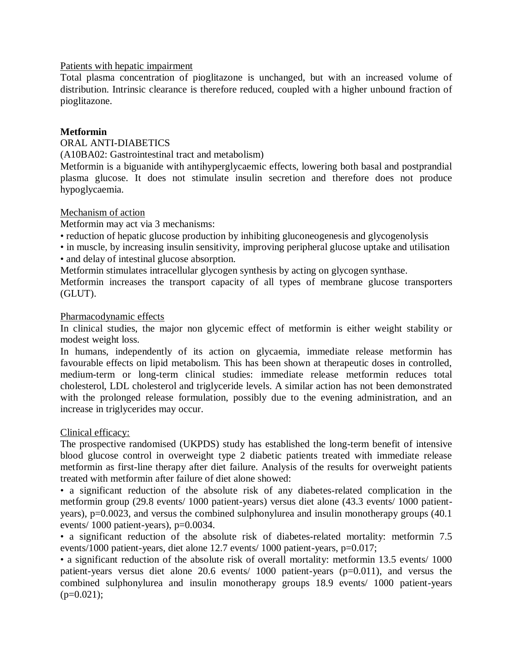#### Patients with hepatic impairment

Total plasma concentration of pioglitazone is unchanged, but with an increased volume of distribution. Intrinsic clearance is therefore reduced, coupled with a higher unbound fraction of pioglitazone.

#### **Metformin**

# ORAL ANTI-DIABETICS

(A10BA02: Gastrointestinal tract and metabolism)

Metformin is a biguanide with antihyperglycaemic effects, lowering both basal and postprandial plasma glucose. It does not stimulate insulin secretion and therefore does not produce hypoglycaemia.

#### Mechanism of action

Metformin may act via 3 mechanisms:

- reduction of hepatic glucose production by inhibiting gluconeogenesis and glycogenolysis
- in muscle, by increasing insulin sensitivity, improving peripheral glucose uptake and utilisation • and delay of intestinal glucose absorption.
- Metformin stimulates intracellular glycogen synthesis by acting on glycogen synthase.

Metformin increases the transport capacity of all types of membrane glucose transporters (GLUT).

#### Pharmacodynamic effects

In clinical studies, the major non glycemic effect of metformin is either weight stability or modest weight loss.

In humans, independently of its action on glycaemia, immediate release metformin has favourable effects on lipid metabolism. This has been shown at therapeutic doses in controlled, medium-term or long-term clinical studies: immediate release metformin reduces total cholesterol, LDL cholesterol and triglyceride levels. A similar action has not been demonstrated with the prolonged release formulation, possibly due to the evening administration, and an increase in triglycerides may occur.

#### Clinical efficacy:

The prospective randomised (UKPDS) study has established the long-term benefit of intensive blood glucose control in overweight type 2 diabetic patients treated with immediate release metformin as first-line therapy after diet failure. Analysis of the results for overweight patients treated with metformin after failure of diet alone showed:

• a significant reduction of the absolute risk of any diabetes-related complication in the metformin group (29.8 events/ 1000 patient-years) versus diet alone (43.3 events/ 1000 patientyears), p=0.0023, and versus the combined sulphonylurea and insulin monotherapy groups (40.1 events/ 1000 patient-years), p=0.0034.

• a significant reduction of the absolute risk of diabetes-related mortality: metformin 7.5 events/1000 patient-years, diet alone 12.7 events/ 1000 patient-years, p=0.017;

• a significant reduction of the absolute risk of overall mortality: metformin 13.5 events/ 1000 patient-years versus diet alone 20.6 events/ 1000 patient-years (p=0.011), and versus the combined sulphonylurea and insulin monotherapy groups 18.9 events/ 1000 patient-years  $(p=0.021);$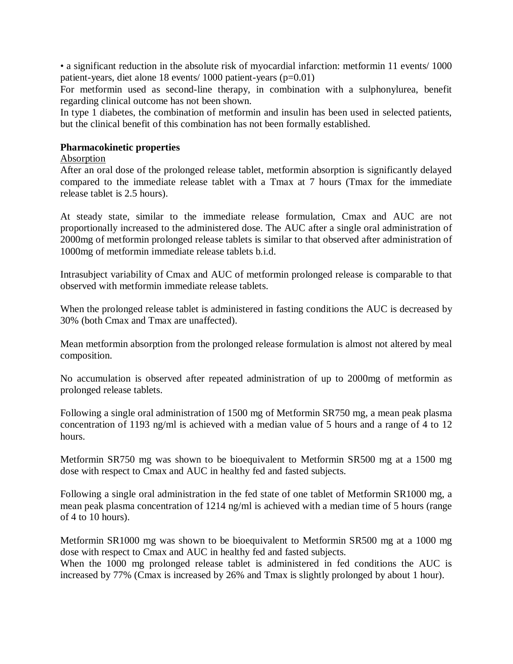• a significant reduction in the absolute risk of myocardial infarction: metformin 11 events/ 1000 patient-years, diet alone 18 events/ 1000 patient-years (p=0.01)

For metformin used as second-line therapy, in combination with a sulphonylurea, benefit regarding clinical outcome has not been shown.

In type 1 diabetes, the combination of metformin and insulin has been used in selected patients, but the clinical benefit of this combination has not been formally established.

#### **Pharmacokinetic properties**

#### Absorption

After an oral dose of the prolonged release tablet, metformin absorption is significantly delayed compared to the immediate release tablet with a Tmax at 7 hours (Tmax for the immediate release tablet is 2.5 hours).

At steady state, similar to the immediate release formulation, Cmax and AUC are not proportionally increased to the administered dose. The AUC after a single oral administration of 2000mg of metformin prolonged release tablets is similar to that observed after administration of 1000mg of metformin immediate release tablets b.i.d.

Intrasubject variability of Cmax and AUC of metformin prolonged release is comparable to that observed with metformin immediate release tablets.

When the prolonged release tablet is administered in fasting conditions the AUC is decreased by 30% (both Cmax and Tmax are unaffected).

Mean metformin absorption from the prolonged release formulation is almost not altered by meal composition.

No accumulation is observed after repeated administration of up to 2000mg of metformin as prolonged release tablets.

Following a single oral administration of 1500 mg of Metformin SR750 mg, a mean peak plasma concentration of 1193 ng/ml is achieved with a median value of 5 hours and a range of 4 to 12 hours.

Metformin SR750 mg was shown to be bioequivalent to Metformin SR500 mg at a 1500 mg dose with respect to Cmax and AUC in healthy fed and fasted subjects.

Following a single oral administration in the fed state of one tablet of Metformin SR1000 mg, a mean peak plasma concentration of 1214 ng/ml is achieved with a median time of 5 hours (range of 4 to 10 hours).

Metformin SR1000 mg was shown to be bioequivalent to Metformin SR500 mg at a 1000 mg dose with respect to Cmax and AUC in healthy fed and fasted subjects.

When the 1000 mg prolonged release tablet is administered in fed conditions the AUC is increased by 77% (Cmax is increased by 26% and Tmax is slightly prolonged by about 1 hour).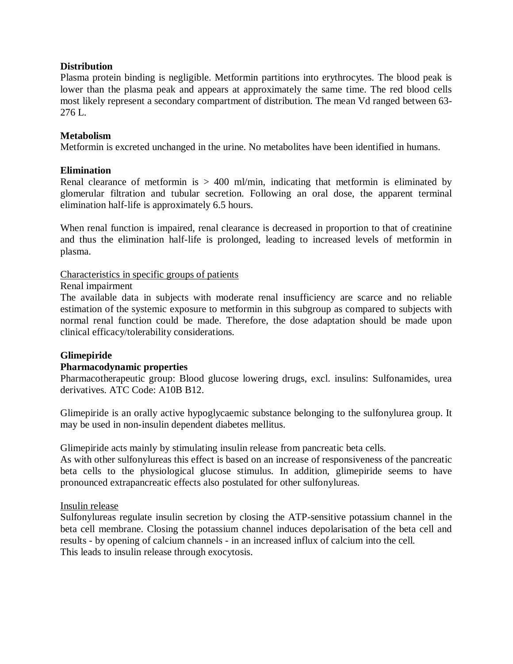#### **Distribution**

Plasma protein binding is negligible. Metformin partitions into erythrocytes. The blood peak is lower than the plasma peak and appears at approximately the same time. The red blood cells most likely represent a secondary compartment of distribution. The mean Vd ranged between 63-  $276 L$ 

# **Metabolism**

Metformin is excreted unchanged in the urine. No metabolites have been identified in humans.

#### **Elimination**

Renal clearance of metformin is  $> 400$  ml/min, indicating that metformin is eliminated by glomerular filtration and tubular secretion. Following an oral dose, the apparent terminal elimination half-life is approximately 6.5 hours.

When renal function is impaired, renal clearance is decreased in proportion to that of creatinine and thus the elimination half-life is prolonged, leading to increased levels of metformin in plasma.

# Characteristics in specific groups of patients

Renal impairment

The available data in subjects with moderate renal insufficiency are scarce and no reliable estimation of the systemic exposure to metformin in this subgroup as compared to subjects with normal renal function could be made. Therefore, the dose adaptation should be made upon clinical efficacy/tolerability considerations.

#### **Glimepiride**

#### **Pharmacodynamic properties**

Pharmacotherapeutic group: Blood glucose lowering drugs, excl. insulins: Sulfonamides, urea derivatives. ATC Code: A10B B12.

Glimepiride is an orally active hypoglycaemic substance belonging to the sulfonylurea group. It may be used in non-insulin dependent diabetes mellitus.

Glimepiride acts mainly by stimulating insulin release from pancreatic beta cells.

As with other sulfonylureas this effect is based on an increase of responsiveness of the pancreatic beta cells to the physiological glucose stimulus. In addition, glimepiride seems to have pronounced extrapancreatic effects also postulated for other sulfonylureas.

#### Insulin release

Sulfonylureas regulate insulin secretion by closing the ATP-sensitive potassium channel in the beta cell membrane. Closing the potassium channel induces depolarisation of the beta cell and results - by opening of calcium channels - in an increased influx of calcium into the cell. This leads to insulin release through exocytosis.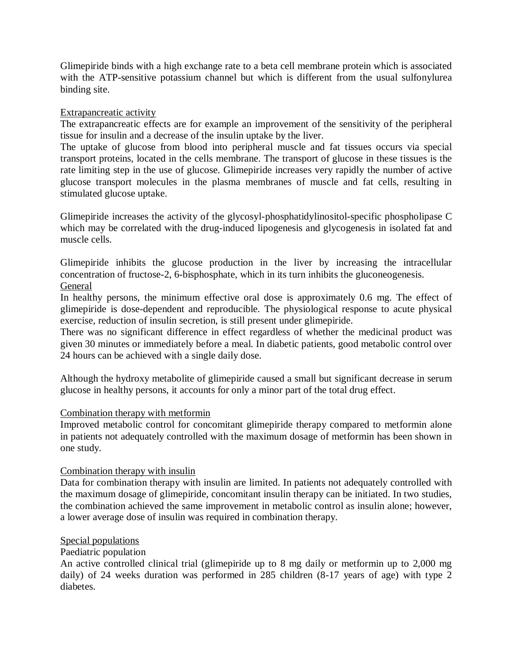Glimepiride binds with a high exchange rate to a beta cell membrane protein which is associated with the ATP-sensitive potassium channel but which is different from the usual sulfonylurea binding site.

# Extrapancreatic activity

The extrapancreatic effects are for example an improvement of the sensitivity of the peripheral tissue for insulin and a decrease of the insulin uptake by the liver.

The uptake of glucose from blood into peripheral muscle and fat tissues occurs via special transport proteins, located in the cells membrane. The transport of glucose in these tissues is the rate limiting step in the use of glucose. Glimepiride increases very rapidly the number of active glucose transport molecules in the plasma membranes of muscle and fat cells, resulting in stimulated glucose uptake.

Glimepiride increases the activity of the glycosyl-phosphatidylinositol-specific phospholipase C which may be correlated with the drug-induced lipogenesis and glycogenesis in isolated fat and muscle cells.

Glimepiride inhibits the glucose production in the liver by increasing the intracellular concentration of fructose-2, 6-bisphosphate, which in its turn inhibits the gluconeogenesis. General

In healthy persons, the minimum effective oral dose is approximately 0.6 mg. The effect of glimepiride is dose-dependent and reproducible. The physiological response to acute physical exercise, reduction of insulin secretion, is still present under glimepiride.

There was no significant difference in effect regardless of whether the medicinal product was given 30 minutes or immediately before a meal. In diabetic patients, good metabolic control over 24 hours can be achieved with a single daily dose.

Although the hydroxy metabolite of glimepiride caused a small but significant decrease in serum glucose in healthy persons, it accounts for only a minor part of the total drug effect.

#### Combination therapy with metformin

Improved metabolic control for concomitant glimepiride therapy compared to metformin alone in patients not adequately controlled with the maximum dosage of metformin has been shown in one study.

#### Combination therapy with insulin

Data for combination therapy with insulin are limited. In patients not adequately controlled with the maximum dosage of glimepiride, concomitant insulin therapy can be initiated. In two studies, the combination achieved the same improvement in metabolic control as insulin alone; however, a lower average dose of insulin was required in combination therapy.

#### Special populations

#### Paediatric population

An active controlled clinical trial (glimepiride up to 8 mg daily or metformin up to 2,000 mg daily) of 24 weeks duration was performed in 285 children (8-17 years of age) with type 2 diabetes.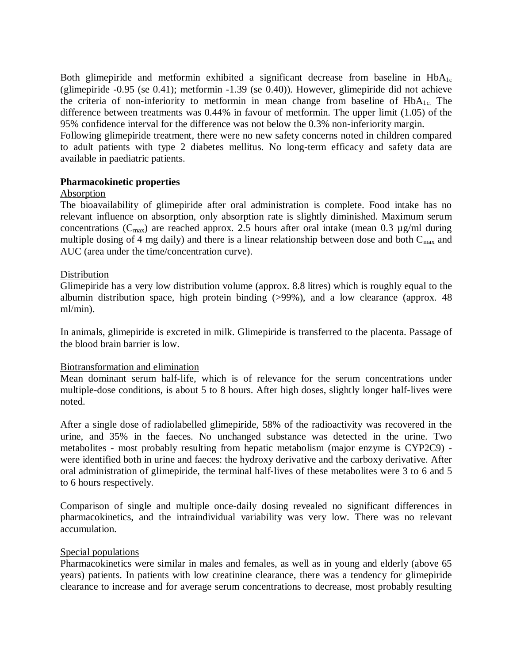Both glimepiride and metformin exhibited a significant decrease from baseline in  $HbA_{1c}$ (glimepiride -0.95 (se 0.41); metformin -1.39 (se 0.40)). However, glimepiride did not achieve the criteria of non-inferiority to metformin in mean change from baseline of  $HbA_{1c}$ . The difference between treatments was 0.44% in favour of metformin. The upper limit (1.05) of the 95% confidence interval for the difference was not below the 0.3% non-inferiority margin.

Following glimepiride treatment, there were no new safety concerns noted in children compared to adult patients with type 2 diabetes mellitus. No long-term efficacy and safety data are available in paediatric patients.

#### **Pharmacokinetic properties**

#### Absorption

The bioavailability of glimepiride after oral administration is complete. Food intake has no relevant influence on absorption, only absorption rate is slightly diminished. Maximum serum concentrations ( $C_{\text{max}}$ ) are reached approx. 2.5 hours after oral intake (mean 0.3 µg/ml during multiple dosing of 4 mg daily) and there is a linear relationship between dose and both  $C_{max}$  and AUC (area under the time/concentration curve).

#### Distribution

Glimepiride has a very low distribution volume (approx. 8.8 litres) which is roughly equal to the albumin distribution space, high protein binding (>99%), and a low clearance (approx. 48 ml/min).

In animals, glimepiride is excreted in milk. Glimepiride is transferred to the placenta. Passage of the blood brain barrier is low.

#### Biotransformation and elimination

Mean dominant serum half-life, which is of relevance for the serum concentrations under multiple-dose conditions, is about 5 to 8 hours. After high doses, slightly longer half-lives were noted.

After a single dose of radiolabelled glimepiride, 58% of the radioactivity was recovered in the urine, and 35% in the faeces. No unchanged substance was detected in the urine. Two metabolites - most probably resulting from hepatic metabolism (major enzyme is CYP2C9) were identified both in urine and faeces: the hydroxy derivative and the carboxy derivative. After oral administration of glimepiride, the terminal half-lives of these metabolites were 3 to 6 and 5 to 6 hours respectively.

Comparison of single and multiple once-daily dosing revealed no significant differences in pharmacokinetics, and the intraindividual variability was very low. There was no relevant accumulation.

#### Special populations

Pharmacokinetics were similar in males and females, as well as in young and elderly (above 65 years) patients. In patients with low creatinine clearance, there was a tendency for glimepiride clearance to increase and for average serum concentrations to decrease, most probably resulting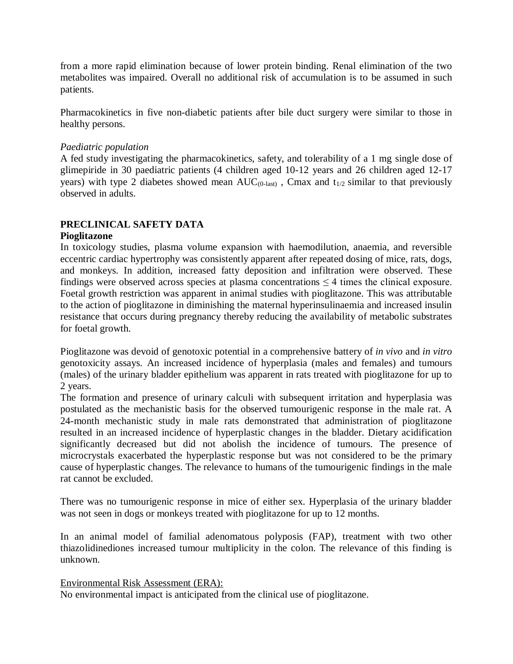from a more rapid elimination because of lower protein binding. Renal elimination of the two metabolites was impaired. Overall no additional risk of accumulation is to be assumed in such patients.

Pharmacokinetics in five non-diabetic patients after bile duct surgery were similar to those in healthy persons.

# *Paediatric population*

A fed study investigating the pharmacokinetics, safety, and tolerability of a 1 mg single dose of glimepiride in 30 paediatric patients (4 children aged 10-12 years and 26 children aged 12-17 years) with type 2 diabetes showed mean AUC<sub>(0-last)</sub>, Cmax and  $t_{1/2}$  similar to that previously observed in adults.

# **PRECLINICAL SAFETY DATA**

#### **Pioglitazone**

In toxicology studies, plasma volume expansion with haemodilution, anaemia, and reversible eccentric cardiac hypertrophy was consistently apparent after repeated dosing of mice, rats, dogs, and monkeys. In addition, increased fatty deposition and infiltration were observed. These findings were observed across species at plasma concentrations  $\leq 4$  times the clinical exposure. Foetal growth restriction was apparent in animal studies with pioglitazone. This was attributable to the action of pioglitazone in diminishing the maternal hyperinsulinaemia and increased insulin resistance that occurs during pregnancy thereby reducing the availability of metabolic substrates for foetal growth.

Pioglitazone was devoid of genotoxic potential in a comprehensive battery of *in vivo* and *in vitro* genotoxicity assays. An increased incidence of hyperplasia (males and females) and tumours (males) of the urinary bladder epithelium was apparent in rats treated with pioglitazone for up to 2 years.

The formation and presence of urinary calculi with subsequent irritation and hyperplasia was postulated as the mechanistic basis for the observed tumourigenic response in the male rat. A 24-month mechanistic study in male rats demonstrated that administration of pioglitazone resulted in an increased incidence of hyperplastic changes in the bladder. Dietary acidification significantly decreased but did not abolish the incidence of tumours. The presence of microcrystals exacerbated the hyperplastic response but was not considered to be the primary cause of hyperplastic changes. The relevance to humans of the tumourigenic findings in the male rat cannot be excluded.

There was no tumourigenic response in mice of either sex. Hyperplasia of the urinary bladder was not seen in dogs or monkeys treated with pioglitazone for up to 12 months.

In an animal model of familial adenomatous polyposis (FAP), treatment with two other thiazolidinediones increased tumour multiplicity in the colon. The relevance of this finding is unknown.

Environmental Risk Assessment (ERA):

No environmental impact is anticipated from the clinical use of pioglitazone.